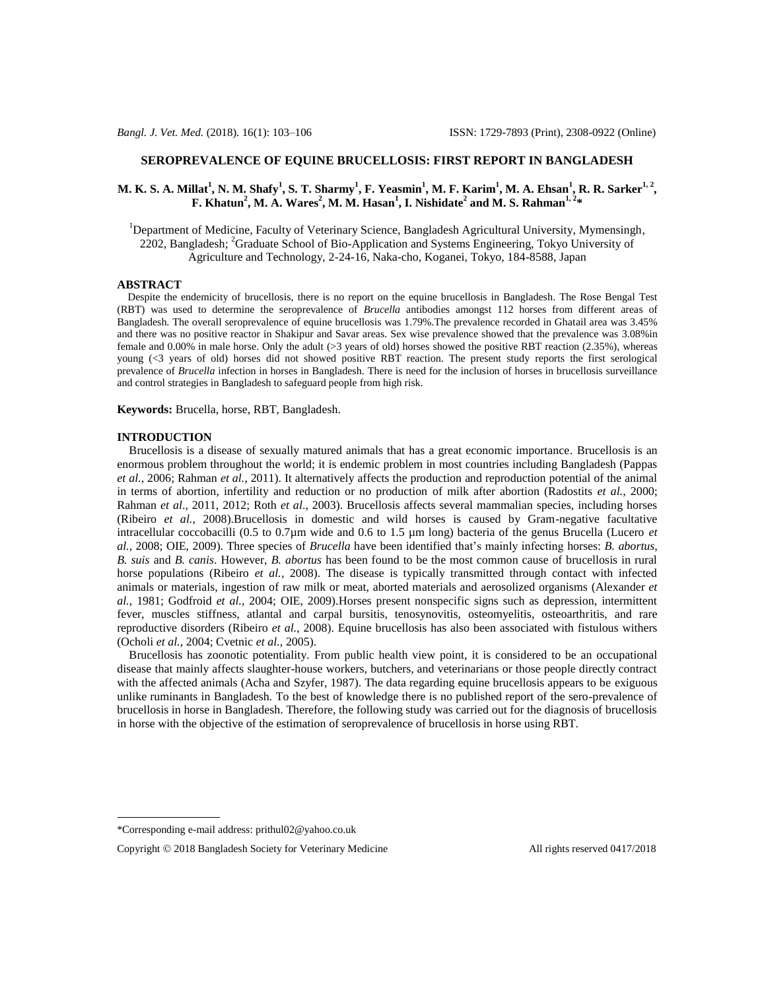## **SEROPREVALENCE OF EQUINE BRUCELLOSIS: FIRST REPORT IN BANGLADESH**

# M. K. S. A. Millat<sup>1</sup>, N. M. Shafy<sup>1</sup>, S. T. Sharmy<sup>1</sup>, F. Yeasmin<sup>1</sup>, M. F. Karim<sup>1</sup>, M. A. Ehsan<sup>1</sup>, R. R. Sarker<sup>1, 2</sup>, **F. Khatun<sup>2</sup> , M. A. Wares<sup>2</sup> , M. M. Hasan<sup>1</sup> , I. Nishidate<sup>2</sup> and M. S. Rahman1, <sup>2</sup> \***

<sup>1</sup>Department of Medicine, Faculty of Veterinary Science, Bangladesh Agricultural University, Mymensingh, 2202, Bangladesh; <sup>2</sup>Graduate School of Bio-Application and Systems Engineering, Tokyo University of Agriculture and Technology, 2-24-16, Naka-cho, Koganei, Tokyo, 184-8588, Japan

#### **ABSTRACT**

 Despite the endemicity of brucellosis, there is no report on the equine brucellosis in Bangladesh. The Rose Bengal Test (RBT) was used to determine the seroprevalence of *Brucella* antibodies amongst 112 horses from different areas of Bangladesh. The overall seroprevalence of equine brucellosis was 1.79%.The prevalence recorded in Ghatail area was 3.45% and there was no positive reactor in Shakipur and Savar areas. Sex wise prevalence showed that the prevalence was 3.08%in female and  $0.00\%$  in male horse. Only the adult ( $>3$  years of old) horses showed the positive RBT reaction (2.35%), whereas young (<3 years of old) horses did not showed positive RBT reaction. The present study reports the first serological prevalence of *Brucella* infection in horses in Bangladesh. There is need for the inclusion of horses in brucellosis surveillance and control strategies in Bangladesh to safeguard people from high risk.

**Keywords:** Brucella, horse, RBT, Bangladesh.

#### **INTRODUCTION**

 Brucellosis is a disease of sexually matured animals that has a great economic importance. Brucellosis is an enormous problem throughout the world; it is endemic problem in most countries including Bangladesh (Pappas *et al.*, 2006; Rahman *et al.*, 2011). It alternatively affects the production and reproduction potential of the animal in terms of abortion, infertility and reduction or no production of milk after abortion (Radostits *et al.*, 2000; Rahman *et al*., 2011, 2012; Roth *et al*., 2003). Brucellosis affects several mammalian species, including horses (Ribeiro *et al.*, 2008).Brucellosis in domestic and wild horses is caused by Gram-negative facultative intracellular coccobacilli (0.5 to 0.7µm wide and 0.6 to 1.5 µm long) bacteria of the genus Brucella (Lucero *et al.*, 2008; OIE, 2009). Three species of *Brucella* have been identified that's mainly infecting horses: *B. abortus*, *B. suis* and *B. canis*. However, *B. abortus* has been found to be the most common cause of brucellosis in rural horse populations (Ribeiro *et al.*, 2008). The disease is typically transmitted through contact with infected animals or materials, ingestion of raw milk or meat, aborted materials and aerosolized organisms (Alexander *et al.*, 1981; Godfroid *et al.*, 2004; OIE, 2009).Horses present nonspecific signs such as depression, intermittent fever, muscles stiffness, atlantal and carpal bursitis, tenosynovitis, osteomyelitis, osteoarthritis, and rare reproductive disorders (Ribeiro *et al.*, 2008). Equine brucellosis has also been associated with fistulous withers (Ocholi *et al.*, 2004; Cvetnic *et al.*, 2005).

 Brucellosis has zoonotic potentiality. From public health view point, it is considered to be an occupational disease that mainly affects slaughter-house workers, butchers, and veterinarians or those people directly contract with the affected animals (Acha and Szyfer, 1987). The data regarding equine brucellosis appears to be exiguous unlike ruminants in Bangladesh. To the best of knowledge there is no published report of the sero-prevalence of brucellosis in horse in Bangladesh. Therefore, the following study was carried out for the diagnosis of brucellosis in horse with the objective of the estimation of seroprevalence of brucellosis in horse using RBT.

<sup>\*</sup>Corresponding e-mail address: prithul02@yahoo.co.uk

Copyright © 2018 Bangladesh Society for Veterinary Medicine All rights reserved 0417/2018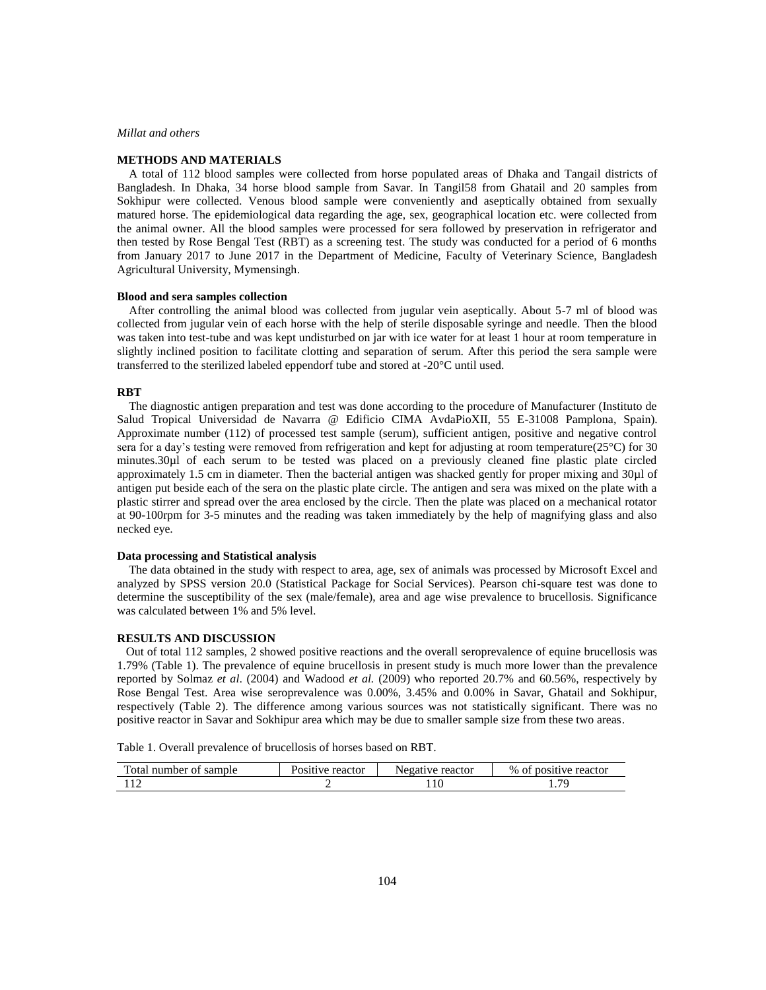### *Millat and others*

## **METHODS AND MATERIALS**

 A total of 112 blood samples were collected from horse populated areas of Dhaka and Tangail districts of Bangladesh. In Dhaka, 34 horse blood sample from Savar. In Tangil58 from Ghatail and 20 samples from Sokhipur were collected. Venous blood sample were conveniently and aseptically obtained from sexually matured horse. The epidemiological data regarding the age, sex, geographical location etc. were collected from the animal owner. All the blood samples were processed for sera followed by preservation in refrigerator and then tested by Rose Bengal Test (RBT) as a screening test. The study was conducted for a period of 6 months from January 2017 to June 2017 in the Department of Medicine, Faculty of Veterinary Science, Bangladesh Agricultural University, Mymensingh.

### **Blood and sera samples collection**

 After controlling the animal blood was collected from jugular vein aseptically. About 5-7 ml of blood was collected from jugular vein of each horse with the help of sterile disposable syringe and needle. Then the blood was taken into test-tube and was kept undisturbed on jar with ice water for at least 1 hour at room temperature in slightly inclined position to facilitate clotting and separation of serum. After this period the sera sample were transferred to the sterilized labeled eppendorf tube and stored at -20°C until used.

#### **RBT**

 The diagnostic antigen preparation and test was done according to the procedure of Manufacturer (Instituto de Salud Tropical Universidad de Navarra @ Edificio CIMA AvdaPioXII, 55 E-31008 Pamplona, Spain). Approximate number (112) of processed test sample (serum), sufficient antigen, positive and negative control sera for a day's testing were removed from refrigeration and kept for adjusting at room temperature(25°C) for 30 minutes.30µl of each serum to be tested was placed on a previously cleaned fine plastic plate circled approximately 1.5 cm in diameter. Then the bacterial antigen was shacked gently for proper mixing and 30µl of antigen put beside each of the sera on the plastic plate circle. The antigen and sera was mixed on the plate with a plastic stirrer and spread over the area enclosed by the circle. Then the plate was placed on a mechanical rotator at 90-100rpm for 3-5 minutes and the reading was taken immediately by the help of magnifying glass and also necked eye.

## **Data processing and Statistical analysis**

 The data obtained in the study with respect to area, age, sex of animals was processed by Microsoft Excel and analyzed by SPSS version 20.0 (Statistical Package for Social Services). Pearson chi-square test was done to determine the susceptibility of the sex (male/female), area and age wise prevalence to brucellosis. Significance was calculated between 1% and 5% level.

### **RESULTS AND DISCUSSION**

 Out of total 112 samples, 2 showed positive reactions and the overall seroprevalence of equine brucellosis was 1.79% (Table 1). The prevalence of equine brucellosis in present study is much more lower than the prevalence reported by Solmaz *et al*. (2004) and Wadood *et al.* (2009) who reported 20.7% and 60.56%, respectively by Rose Bengal Test. Area wise seroprevalence was 0.00%, 3.45% and 0.00% in Savar, Ghatail and Sokhipur, respectively (Table 2). The difference among various sources was not statistically significant. There was no positive reactor in Savar and Sokhipur area which may be due to smaller sample size from these two areas.

Table 1. Overall prevalence of brucellosis of horses based on RBT.

| l'otal number of sample | Positive reactor | Negative reactor | $%$ of<br>positive reactor |
|-------------------------|------------------|------------------|----------------------------|
|                         |                  | 10               |                            |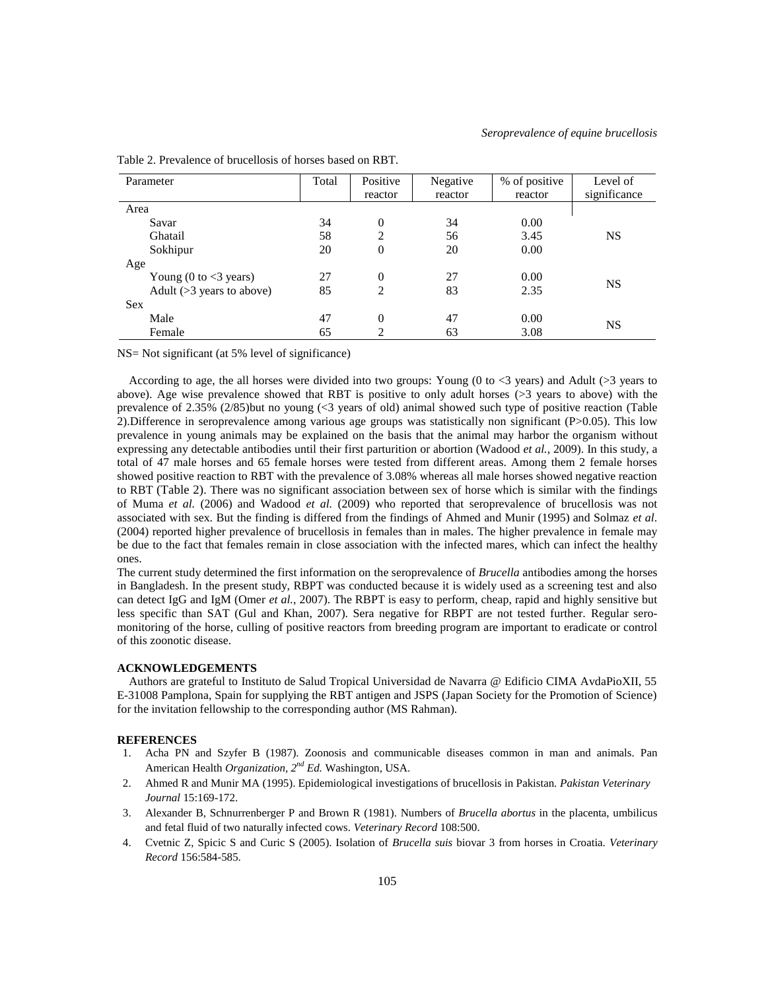| Parameter                                 | Total | Positive<br>reactor | Negative<br>reactor | % of positive<br>reactor | Level of<br>significance |
|-------------------------------------------|-------|---------------------|---------------------|--------------------------|--------------------------|
| Area                                      |       |                     |                     |                          |                          |
| Savar                                     | 34    | $\overline{0}$      | 34                  | 0.00                     |                          |
| Ghatail                                   | 58    | 2                   | 56                  | 3.45                     | <b>NS</b>                |
| Sokhipur                                  | 20    | 0                   | 20                  | 0.00                     |                          |
| Age                                       |       |                     |                     |                          |                          |
| Young $(0 \text{ to } < 3 \text{ years})$ | 27    | 0                   | 27                  | 0.00                     | <b>NS</b>                |
| Adult ( $>3$ years to above)              | 85    | 2                   | 83                  | 2.35                     |                          |
| <b>Sex</b>                                |       |                     |                     |                          |                          |
| Male                                      | 47    | 0                   | 47                  | 0.00                     |                          |
| Female                                    | 65    | 2                   | 63                  | 3.08                     | <b>NS</b>                |

Table 2. Prevalence of brucellosis of horses based on RBT.

NS= Not significant (at 5% level of significance)

According to age, the all horses were divided into two groups: Young (0 to  $\lt 3$  years) and Adult ( $>3$  years to above). Age wise prevalence showed that RBT is positive to only adult horses (>3 years to above) with the prevalence of 2.35% (2/85)but no young (<3 years of old) animal showed such type of positive reaction (Table 2).Difference in seroprevalence among various age groups was statistically non significant (P>0.05). This low prevalence in young animals may be explained on the basis that the animal may harbor the organism without expressing any detectable antibodies until their first parturition or abortion (Wadood *et al.*, 2009). In this study, a total of 47 male horses and 65 female horses were tested from different areas. Among them 2 female horses showed positive reaction to RBT with the prevalence of 3.08% whereas all male horses showed negative reaction to RBT (Table 2). There was no significant association between sex of horse which is similar with the findings of Muma *et al.* (2006) and Wadood *et al.* (2009) who reported that seroprevalence of brucellosis was not associated with sex. But the finding is differed from the findings of Ahmed and Munir (1995) and Solmaz *et al*. (2004) reported higher prevalence of brucellosis in females than in males. The higher prevalence in female may be due to the fact that females remain in close association with the infected mares, which can infect the healthy ones.

The current study determined the first information on the seroprevalence of *Brucella* antibodies among the horses in Bangladesh. In the present study, RBPT was conducted because it is widely used as a screening test and also can detect IgG and IgM (Omer *et al.*, 2007). The RBPT is easy to perform, cheap, rapid and highly sensitive but less specific than SAT (Gul and Khan, 2007). Sera negative for RBPT are not tested further. Regular seromonitoring of the horse, culling of positive reactors from breeding program are important to eradicate or control of this zoonotic disease.

# **ACKNOWLEDGEMENTS**

 Authors are grateful to Instituto de Salud Tropical Universidad de Navarra @ Edificio CIMA AvdaPioXII, 55 E-31008 Pamplona, Spain for supplying the RBT antigen and JSPS (Japan Society for the Promotion of Science) for the invitation fellowship to the corresponding author (MS Rahman).

### **REFERENCES**

- 1. Acha PN and Szyfer B (1987). Zoonosis and communicable diseases common in man and animals. Pan American Health *Organization, 2nd Ed.* Washington, USA.
- 2. Ahmed R and Munir MA (1995). Epidemiological investigations of brucellosis in Pakistan. *Pakistan Veterinary Journal* 15:169-172.
- 3. Alexander B, Schnurrenberger P and Brown R (1981). Numbers of *Brucella abortus* in the placenta, umbilicus and fetal fluid of two naturally infected cows. *Veterinary Record* 108:500.
- 4. Cvetnic Z, Spicic S and Curic S (2005). Isolation of *Brucella suis* biovar 3 from horses in Croatia. *Veterinary Record* 156:584-585.